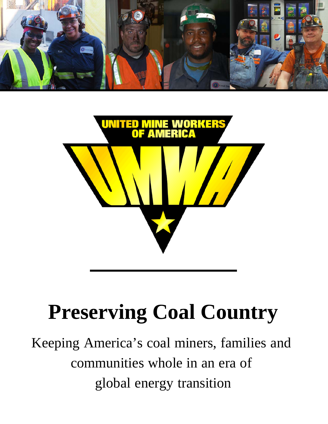



# **Preserving Coal Country**

Keeping America's coal miners, families and communities whole in an era of global energy transition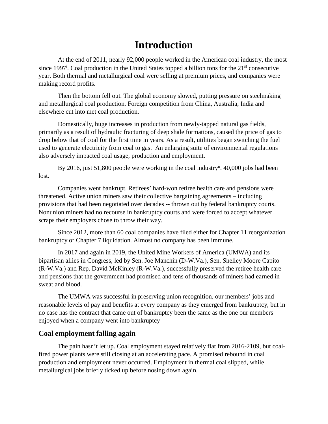# **Introduction**

At the end of 2011, nearly 92,000 people worked in the American coal industry, the most since 1997<sup>i</sup>. Coal production in the United States topped a billion tons for the 21<sup>st</sup> consecutive year. Both thermal and metallurgical coal were selling at premium prices, and companies were making record profits.

Then the bottom fell out. The global economy slowed, putting pressure on steelmaking and metallurgical coal production. Foreign competition from China, Australia, India and elsewhere cut into met coal production.

Domestically, huge increases in production from newly-tapped natural gas fields, primarily as a result of hydraulic fracturing of deep shale formations, caused the price of gas to drop below that of coal for the first time in years. As a result, utilities began switching the fuel used to generate electricity from coal to gas. An enlarging suite of environmental regulations also adversely impacted coal usage, production and employment.

By 2016, just 51,800 people were working in the coal industry<sup>ii</sup>. 40,000 jobs had been lost.

Companies went bankrupt. Retirees' hard-won retiree health care and pensions were threatened. Active union miners saw their collective bargaining agreements – including provisions that had been negotiated over decades -- thrown out by federal bankruptcy courts. Nonunion miners had no recourse in bankruptcy courts and were forced to accept whatever scraps their employers chose to throw their way.

Since 2012, more than 60 coal companies have filed either for Chapter 11 reorganization bankruptcy or Chapter 7 liquidation. Almost no company has been immune.

In 2017 and again in 2019, the United Mine Workers of America (UMWA) and its bipartisan allies in Congress, led by Sen. Joe Manchin (D-W.Va.), Sen. Shelley Moore Capito (R-W.Va.) and Rep. David McKinley (R-W.Va.), successfully preserved the retiree health care and pensions that the government had promised and tens of thousands of miners had earned in sweat and blood.

The UMWA was successful in preserving union recognition, our members' jobs and reasonable levels of pay and benefits at every company as they emerged from bankruptcy, but in no case has the contract that came out of bankruptcy been the same as the one our members enjoyed when a company went into bankruptcy

## **Coal employment falling again**

The pain hasn't let up. Coal employment stayed relatively flat from 2016-2109, but coalfired power plants were still closing at an accelerating pace. A promised rebound in coal production and employment never occurred. Employment in thermal coal slipped, while metallurgical jobs briefly ticked up before nosing down again.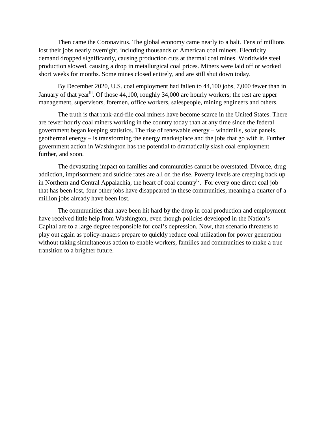Then came the Coronavirus. The global economy came nearly to a halt. Tens of millions lost their jobs nearly overnight, including thousands of American coal miners. Electricity demand dropped significantly, causing production cuts at thermal coal mines. Worldwide steel production slowed, causing a drop in metallurgical coal prices. Miners were laid off or worked short weeks for months. Some mines closed entirely, and are still shut down today.

By December 2020, U.S. coal employment had fallen to 44,100 jobs, 7,000 fewer than in January of that yeariii. Of those 44,100, roughly 34,000 are hourly workers; the rest are upper management, supervisors, foremen, office workers, salespeople, mining engineers and others.

The truth is that rank-and-file coal miners have become scarce in the United States. There are fewer hourly coal miners working in the country today than at any time since the federal government began keeping statistics. The rise of renewable energy – windmills, solar panels, geothermal energy – is transforming the energy marketplace and the jobs that go with it. Further government action in Washington has the potential to dramatically slash coal employment further, and soon.

The devastating impact on families and communities cannot be overstated. Divorce, drug addiction, imprisonment and suicide rates are all on the rise. Poverty levels are creeping back up in Northern and Central Appalachia, the heart of coal country<sup>iv</sup>. For every one direct coal job that has been lost, four other jobs have disappeared in these communities, meaning a quarter of a million jobs already have been lost.

The communities that have been hit hard by the drop in coal production and employment have received little help from Washington, even though policies developed in the Nation's Capital are to a large degree responsible for coal's depression. Now, that scenario threatens to play out again as policy-makers prepare to quickly reduce coal utilization for power generation without taking simultaneous action to enable workers, families and communities to make a true transition to a brighter future.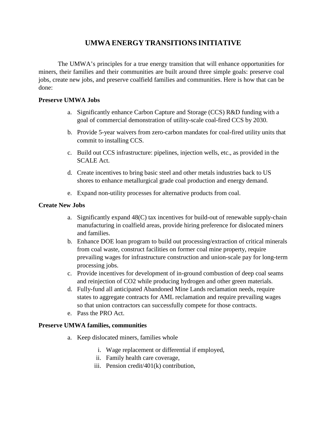# **UMWA ENERGY TRANSITIONS INITIATIVE**

The UMWA's principles for a true energy transition that will enhance opportunities for miners, their families and their communities are built around three simple goals: preserve coal jobs, create new jobs, and preserve coalfield families and communities. Here is how that can be done:

#### **Preserve UMWA Jobs**

- a. Significantly enhance Carbon Capture and Storage (CCS) R&D funding with a goal of commercial demonstration of utility-scale coal-fired CCS by 2030.
- b. Provide 5-year waivers from zero-carbon mandates for coal-fired utility units that commit to installing CCS.
- c. Build out CCS infrastructure: pipelines, injection wells, etc., as provided in the SCALE Act.
- d. Create incentives to bring basic steel and other metals industries back to US shores to enhance metallurgical grade coal production and energy demand.
- e. Expand non-utility processes for alternative products from coal.

#### **Create New Jobs**

- a. Significantly expand 48(C) tax incentives for build-out of renewable supply-chain manufacturing in coalfield areas, provide hiring preference for dislocated miners and families.
- b. Enhance DOE loan program to build out processing/extraction of critical minerals from coal waste, construct facilities on former coal mine property, require prevailing wages for infrastructure construction and union-scale pay for long-term processing jobs.
- c. Provide incentives for development of in-ground combustion of deep coal seams and reinjection of CO2 while producing hydrogen and other green materials.
- d. Fully-fund all anticipated Abandoned Mine Lands reclamation needs, require states to aggregate contracts for AML reclamation and require prevailing wages so that union contractors can successfully compete for those contracts.
- e. Pass the PRO Act.

### **Preserve UMWA families, communities**

- a. Keep dislocated miners, families whole
	- i. Wage replacement or differential if employed,
	- ii. Family health care coverage,
	- iii. Pension credit/401(k) contribution,